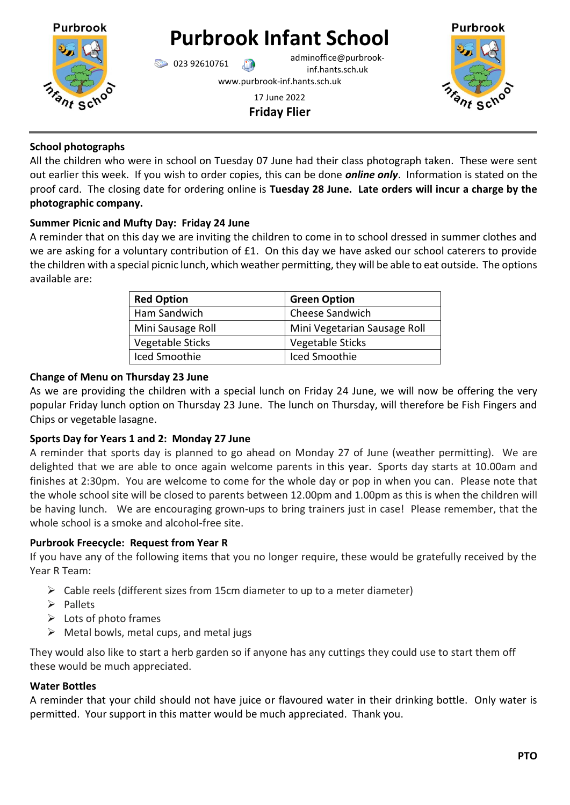

# **Purbrook Infant School**

023 92610761 adminoffice@purbrookinf.hants.sch.uk

www.purbrook-inf.hants.sch.uk

17 June 2022 **Friday Flier**



## **School photographs**

All the children who were in school on Tuesday 07 June had their class photograph taken. These were sent out earlier this week. If you wish to order copies, this can be done *online only*. Information is stated on the proof card. The closing date for ordering online is **Tuesday 28 June. Late orders will incur a charge by the photographic company.** 

# **Summer Picnic and Mufty Day: Friday 24 June**

A reminder that on this day we are inviting the children to come in to school dressed in summer clothes and we are asking for a voluntary contribution of £1. On this day we have asked our school caterers to provide the children with a special picnic lunch, which weather permitting, they will be able to eat outside. The options available are:

| <b>Red Option</b> | <b>Green Option</b>          |
|-------------------|------------------------------|
| Ham Sandwich      | <b>Cheese Sandwich</b>       |
| Mini Sausage Roll | Mini Vegetarian Sausage Roll |
| Vegetable Sticks  | Vegetable Sticks             |
| Iced Smoothie     | Iced Smoothie                |

## **Change of Menu on Thursday 23 June**

As we are providing the children with a special lunch on Friday 24 June, we will now be offering the very popular Friday lunch option on Thursday 23 June. The lunch on Thursday, will therefore be Fish Fingers and Chips or vegetable lasagne.

# **Sports Day for Years 1 and 2: Monday 27 June**

A reminder that sports day is planned to go ahead on Monday 27 of June (weather permitting). We are delighted that we are able to once again welcome parents in this year. Sports day starts at 10.00am and finishes at 2:30pm. You are welcome to come for the whole day or pop in when you can. Please note that the whole school site will be closed to parents between 12.00pm and 1.00pm as this is when the children will be having lunch. We are encouraging grown-ups to bring trainers just in case! Please remember, that the whole school is a smoke and alcohol-free site.

## **Purbrook Freecycle: Request from Year R**

If you have any of the following items that you no longer require, these would be gratefully received by the Year R Team:

- $\triangleright$  Cable reels (different sizes from 15cm diameter to up to a meter diameter)
- ➢ Pallets
- $\triangleright$  Lots of photo frames
- $\triangleright$  Metal bowls, metal cups, and metal jugs

They would also like to start a herb garden so if anyone has any cuttings they could use to start them off these would be much appreciated.

## **Water Bottles**

A reminder that your child should not have juice or flavoured water in their drinking bottle. Only water is permitted. Your support in this matter would be much appreciated. Thank you.